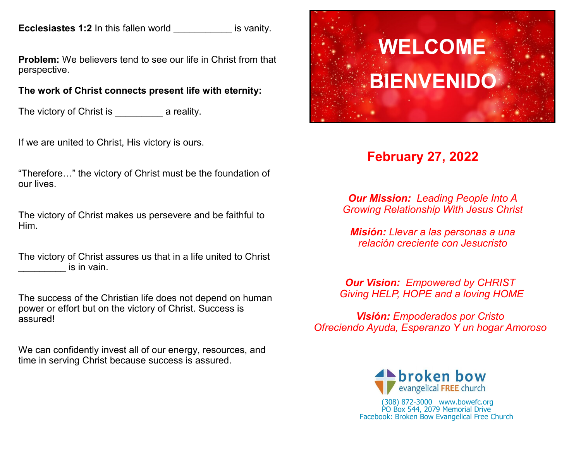**Ecclesiastes 1:2** In this fallen world **ECCLE is vanity.** 

**Problem:** We believers tend to see our life in Christ from that perspective.

# **The work of Christ connects present life with eternity:**

The victory of Christ is The victory of Christ is The victory of Christ is

If we are united to Christ, His victory is ours.

"Therefore…" the victory of Christ must be the foundation of our lives.

The victory of Christ makes us persevere and be faithful to Him.

The victory of Christ assures us that in a life united to Christ is in vain.

The success of the Christian life does not depend on human power or effort but on the victory of Christ. Success is assured!

We can confidently invest all of our energy, resources, and time in serving Christ because success is assured.



# **February 27, 2022**

*Our Mission: Leading People Into A Growing Relationship With Jesus Christ*

*Misión: Llevar a las personas a una relación creciente con Jesucristo*

*Our Vision: Empowered by CHRIST Giving HELP, HOPE and a loving HOME*

*Visión: Empoderados por Cristo Ofreciendo Ayuda, Esperanzo Y un hogar Amoroso*



(308) 872-3000 www.bowefc.org PO Box 544, 2079 Memorial Drive Facebook: Broken Bow Evangelical Free Church